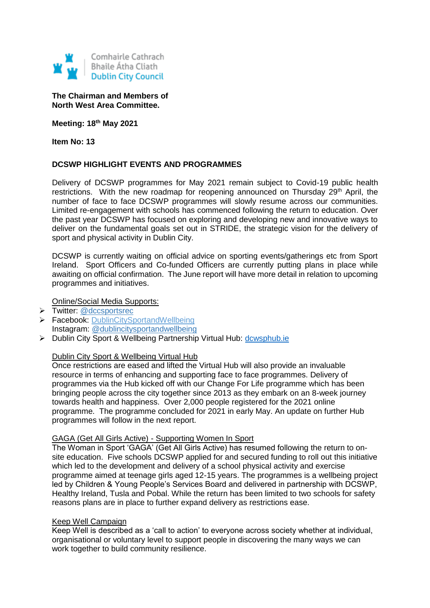

# **The Chairman and Members of North West Area Committee.**

**Meeting: 18th May 2021**

**Item No: 13**

# **DCSWP HIGHLIGHT EVENTS AND PROGRAMMES**

Delivery of DCSWP programmes for May 2021 remain subject to Covid-19 public health restrictions. With the new roadmap for reopening announced on Thursday 29<sup>th</sup> April, the number of face to face DCSWP programmes will slowly resume across our communities. Limited re-engagement with schools has commenced following the return to education. Over the past year DCSWP has focused on exploring and developing new and innovative ways to deliver on the fundamental goals set out in STRIDE, the strategic vision for the delivery of sport and physical activity in Dublin City.

DCSWP is currently waiting on official advice on sporting events/gatherings etc from Sport Ireland. Sport Officers and Co-funded Officers are currently putting plans in place while awaiting on official confirmation. The June report will have more detail in relation to upcoming programmes and initiatives.

Online/Social Media Supports:

- > Twitter: [@dccsportsrec](https://twitter.com/dccsportsrec)
- ▶ Facebook: [DublinCitySportandWellbeing](https://www.facebook.com/DublinCitySportandWellbeingPartnership/) Instagram: @dublincitysportandwellbeing
- > Dublin City Sport & Wellbeing Partnership Virtual Hub: [dcwsphub.ie](http://www.dcswphub.ie/)

#### Dublin City Sport & Wellbeing Virtual Hub

Once restrictions are eased and lifted the Virtual Hub will also provide an invaluable resource in terms of enhancing and supporting face to face programmes. Delivery of programmes via the Hub kicked off with our Change For Life programme which has been bringing people across the city together since 2013 as they embark on an 8-week journey towards health and happiness. Over 2,000 people registered for the 2021 online programme. The programme concluded for 2021 in early May. An update on further Hub programmes will follow in the next report.

#### GAGA (Get All Girls Active) - Supporting Women In Sport

The Woman in Sport 'GAGA' (Get All Girls Active) has resumed following the return to onsite education. Five schools DCSWP applied for and secured funding to roll out this initiative which led to the development and delivery of a school physical activity and exercise programme aimed at teenage girls aged 12-15 years. The programmes is a wellbeing project led by Children & Young People's Services Board and delivered in partnership with DCSWP, Healthy Ireland, Tusla and Pobal. While the return has been limited to two schools for safety reasons plans are in place to further expand delivery as restrictions ease.

#### Keep Well Campaign

Keep Well is described as a 'call to action' to everyone across society whether at individual, organisational or voluntary level to support people in discovering the many ways we can work together to build community resilience.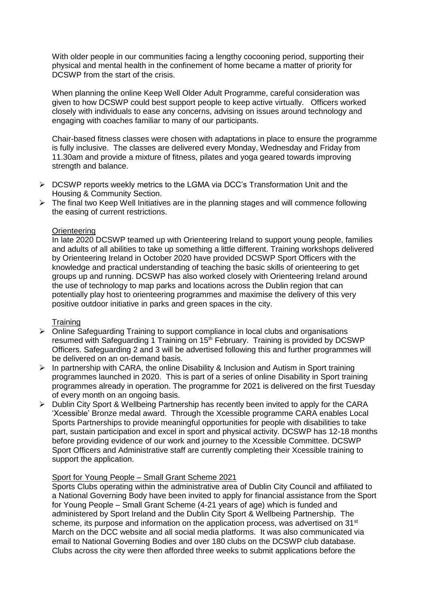With older people in our communities facing a lengthy cocooning period, supporting their physical and mental health in the confinement of home became a matter of priority for DCSWP from the start of the crisis.

When planning the online Keep Well Older Adult Programme, careful consideration was given to how DCSWP could best support people to keep active virtually. Officers worked closely with individuals to ease any concerns, advising on issues around technology and engaging with coaches familiar to many of our participants.

Chair-based fitness classes were chosen with adaptations in place to ensure the programme is fully inclusive. The classes are delivered every Monday, Wednesday and Friday from 11.30am and provide a mixture of fitness, pilates and yoga geared towards improving strength and balance.

- $\triangleright$  DCSWP reports weekly metrics to the LGMA via DCC's Transformation Unit and the Housing & Community Section.
- $\triangleright$  The final two Keep Well Initiatives are in the planning stages and will commence following the easing of current restrictions.

# **Orienteering**

In late 2020 DCSWP teamed up with Orienteering Ireland to support young people, families and adults of all abilities to take up something a little different. Training workshops delivered by Orienteering Ireland in October 2020 have provided DCSWP Sport Officers with the knowledge and practical understanding of teaching the basic skills of orienteering to get groups up and running. DCSWP has also worked closely with Orienteering Ireland around the use of technology to map parks and locations across the Dublin region that can potentially play host to orienteering programmes and maximise the delivery of this very positive outdoor initiative in parks and green spaces in the city.

#### **Training**

- $\triangleright$  Online Safeguarding Training to support compliance in local clubs and organisations resumed with Safeguarding 1 Training on 15<sup>th</sup> February. Training is provided by DCSWP Officers. Safeguarding 2 and 3 will be advertised following this and further programmes will be delivered on an on-demand basis.
- $\triangleright$  In partnership with CARA, the online Disability & Inclusion and Autism in Sport training programmes launched in 2020. This is part of a series of online Disability in Sport training programmes already in operation. The programme for 2021 is delivered on the first Tuesday of every month on an ongoing basis.
- Dublin City Sport & Wellbeing Partnership has recently been invited to apply for the CARA 'Xcessible' Bronze medal award. Through the Xcessible programme CARA enables Local Sports Partnerships to provide meaningful opportunities for people with disabilities to take part, sustain participation and excel in sport and physical activity. DCSWP has 12-18 months before providing evidence of our work and journey to the Xcessible Committee. DCSWP Sport Officers and Administrative staff are currently completing their Xcessible training to support the application.

# Sport for Young People – Small Grant Scheme 2021

Sports Clubs operating within the administrative area of Dublin City Council and affiliated to a National Governing Body have been invited to apply for financial assistance from the Sport for Young People – Small Grant Scheme (4-21 years of age) which is funded and administered by Sport Ireland and the Dublin City Sport & Wellbeing Partnership. The scheme, its purpose and information on the application process, was advertised on 31<sup>st</sup> March on the DCC website and all social media platforms. It was also communicated via email to National Governing Bodies and over 180 clubs on the DCSWP club database. Clubs across the city were then afforded three weeks to submit applications before the